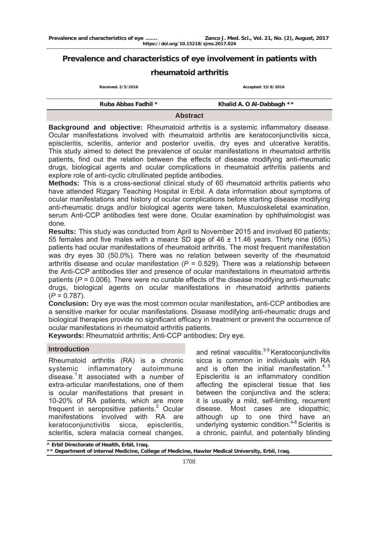# **Prevalence and characteristics of eye involvement in patients with**

# **rheumatoid arthritis**

**Received: 2/5/2016 Accepted: 15/8/2016** 

| Ruba Abbas Fadhil * |                 | Khalid A. O Al-Dabbagh ** |
|---------------------|-----------------|---------------------------|
|                     | <b>Abstract</b> |                           |

**Background and objective:** Rheumatoid arthritis is a systemic inflammatory disease. Ocular manifestations involved with rheumatoid arthritis are keratoconjunctivitis sicca, episcleritis, scleritis, anterior and posterior uveitis, dry eyes and ulcerative keratitis. This study aimed to detect the prevalence of ocular manifestations in rheumatoid arthritis patients, find out the relation between the effects of disease modifying anti-rheumatic drugs, biological agents and ocular complications in rheumatoid arthritis patients and explore role of anti-cyclic citrullinated peptide antibodies.

**Methods:** This is a cross-sectional clinical study of 60 rheumatoid arthritis patients who have attended Rizgary Teaching Hospital in Erbil. A data information about symptoms of ocular manifestations and history of ocular complications before starting disease modifying anti-rheumatic drugs and/or biological agents were taken. Musculoskeletal examination, serum Anti-CCP antibodies test were done. Ocular examination by ophthalmologist was done.

**Results:** This study was conducted from April to November 2015 and involved 60 patients; 55 females and five males with a mean± SD age of 46 ± 11.46 years. Thirty nine (65%) patients had ocular manifestations of rheumatoid arthritis. The most frequent manifestation was dry eyes 30 (50.0%). There was no relation between severity of the rheumatoid arthritis disease and ocular manifestation  $(P = 0.529)$ . There was a relationship between the Anti-CCP antibodies titer and presence of ocular manifestations in rheumatoid arthritis patients (*P* = 0.006). There were no curable effects of the disease modifying anti-rheumatic drugs, biological agents on ocular manifestations in rheumatoid arthritis patients (*P* = 0.787).

**Conclusion:** Dry eye was the most common ocular manifestation**,** anti-CCP antibodies are a sensitive marker for ocular manifestations. Disease modifying anti-rheumatic drugs and biological therapies provide no significant efficacy in treatment or prevent the occurrence of ocular manifestations in rheumatoid arthritis patients.

**Keywords:** Rheumatoid arthritis; Anti-CCP antibodies; Dry eye.

### **Introduction**

Rheumatoid arthritis (RA) is a chronic systemic inflammatory autoimmune disease.<sup>1</sup> It associated with a number of extra-articular manifestations, one of them is ocular manifestations that present in 10-20% of RA patients, which are more frequent in seropositive patients. $2$  Ocular manifestations involved with RA are keratoconjunctivitis sicca, episcleritis, scleritis, sclera malacia corneal changes,

and retinal vasculitis.<sup>3-5</sup> Keratoconjunctivitis sicca is common in individuals with RA and is often the initial manifestation. $4, 5$ Episcleritis is an inflammatory condition affecting the episcleral tissue that lies between the conjunctiva and the sclera; it is usually a mild, self-limiting, recurrent disease. Most cases are idiopathic; although up to one third have an underlying systemic condition.<sup>4-6</sup> Scleritis is a chronic, painful, and potentially blinding

**<sup>\*</sup> Erbil Directorate of Health, Erbil, Iraq.** 

**<sup>\*\*</sup> Department of internal Medicine, College of Medicine, Hawler Medical University, Erbil, Iraq.**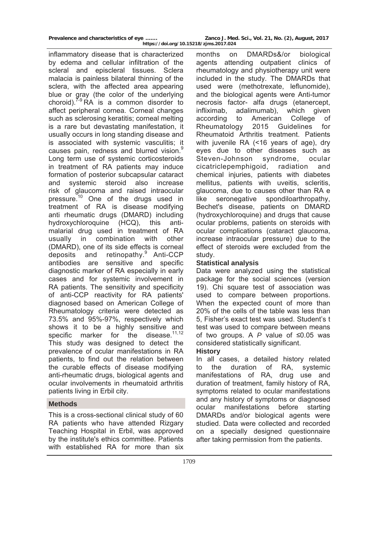inflammatory disease that is characterized by edema and cellular infiltration of the scleral and episcleral tissues. Sclera malacia is painless bilateral thinning of the sclera, with the affected area appearing blue or gray (the color of the underlying choroid). $7-9$  RA is a common disorder to affect peripheral cornea. Corneal changes such as sclerosing keratitis; corneal melting is a rare but devastating manifestation, it usually occurs in long standing disease and is associated with systemic vasculitis; it causes pain, redness and blurred vision.<sup>9</sup> Long term use of systemic corticosteroids in treatment of RA patients may induce formation of posterior subcapsular cataract and systemic steroid also increase risk of glaucoma and raised intraocular pressure.<sup>10</sup> One of the drugs used in treatment of RA is disease modifying anti rheumatic drugs (DMARD) including hydroxychloroquine (HCQ), this antimalarial drug used in treatment of RA usually in combination with other (DMARD), one of its side effects is corneal deposits and retinopathy.<sup>9</sup> Anti-CCP antibodies are sensitive and specific diagnostic marker of RA especially in early cases and for systemic involvement in RA patients. The sensitivity and specificity of anti-CCP reactivity for RA patients' diagnosed based on American College of Rheumatology criteria were detected as 73.5% and 95%-97%, respectively which shows it to be a highly sensitive and specific marker for the disease. $11,12$ This study was designed to detect the prevalence of ocular manifestations in RA patients, to find out the relation between the curable effects of disease modifying anti-rheumatic drugs, biological agents and ocular involvements in rheumatoid arthritis patients living in Erbil city.

### **Methods**

This is a cross-sectional clinical study of 60 RA patients who have attended Rizgary Teaching Hospital in Erbil, was approved by the institute's ethics committee. Patients with established RA for more than six

months on DMARDs&/or biological agents attending outpatient clinics of rheumatology and physiotherapy unit were included in the study. The DMARDs that used were (methotrexate, leflunomide), and the biological agents were Anti-tumor necrosis factor- alfa drugs (etanercept, infliximab, adalimumab), which given according to American College of Rheumatology 2015 Guidelines for Rheumatoid Arthritis treatment. Patients with juvenile RA (<16 years of age), dry eyes due to other diseases such as Steven-Johnson syndrome, ocular cicatriclepemphigoid, radiation and chemical injuries, patients with diabetes mellitus, patients with uveitis, scleritis, glaucoma, due to causes other than RA e like seronegative spondiloarthropathy, Bechet's disease, patients on DMARD (hydroxychloroquine) and drugs that cause ocular problems, patients on steroids with ocular complications (cataract glaucoma, increase intraocular pressure) due to the effect of steroids were excluded from the study.

## **Statistical analysis**

Data were analyzed using the statistical package for the social sciences (version 19). Chi square test of association was used to compare between proportions. When the expected count of more than 20% of the cells of the table was less than 5, Fisher's exact test was used. Student's t test was used to compare between means of two groups. A *P* value of ≤0.05 was considered statistically significant.

## **History**

In all cases, a detailed history related to the duration of RA, systemic manifestations of RA, drug use and duration of treatment, family history of RA, symptoms related to ocular manifestations and any history of symptoms or diagnosed ocular manifestations before starting DMARDs and/or biological agents were studied. Data were collected and recorded on a specially designed questionnaire after taking permission from the patients.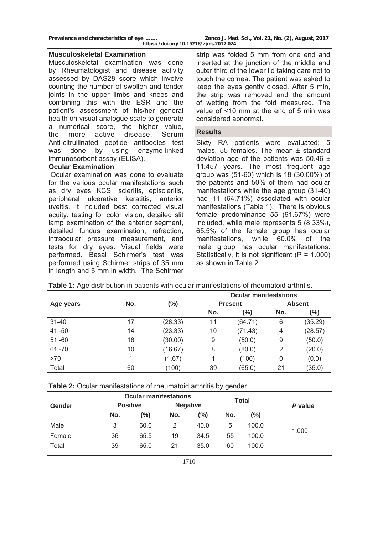**Prevalence and characteristics of eye ……. Zanco J. Med. Sci., Vol. 21, No. (2), August, 2017 https://doi.org/10.15218/zjms.2017.024**

#### **Musculoskeletal Examination**

Musculoskeletal examination was done by Rheumatologist and disease activity assessed by DAS28 score which involve counting the number of swollen and tender joints in the upper limbs and knees and combining this with the ESR and the patient's assessment of his/her general health on visual analogue scale to generate a numerical score, the higher value, the more active disease. Serum Anti-citrullinated peptide antibodies test was done by using enzyme-linked immunosorbent assay (ELISA).

### **Ocular Examination**

 Ocular examination was done to evaluate for the various ocular manifestations such as dry eyes KCS, scleritis, episcleritis, peripheral ulcerative keratitis, anterior uveitis. It included best corrected visual acuity, testing for color vision, detailed slit lamp examination of the anterior segment, detailed fundus examination, refraction, intraocular pressure measurement, and tests for dry eyes. Visual fields were performed. Basal Schirmer's test was performed using Schirmer strips of 35 mm in length and 5 mm in width. The Schirmer

strip was folded 5 mm from one end and inserted at the junction of the middle and outer third of the lower lid taking care not to touch the cornea. The patient was asked to keep the eyes gently closed. After 5 min, the strip was removed and the amount of wetting from the fold measured. The value of <10 mm at the end of 5 min was considered abnormal.

#### **Results**

Sixty RA patients were evaluated; 5 males, 55 females. The mean  $±$  standard deviation age of the patients was  $50.46 \pm$ 11.457 years. The most frequent age group was (51-60) which is 18 (30.00%) of the patients and 50% of them had ocular manifestations while the age group (31-40) had 11 (64.71%) associated with ocular manifestations (Table 1). There is obvious female predominance 55 (91.67%) were included, while male represents 5 (8.33%), 65.5% of the female group has ocular manifestations, while 60.0% of the male group has ocular manifestations. Statistically, it is not significant  $(P = 1.000)$ as shown in Table 2.

|           |     |         | <b>Ocular manifestations</b> |         |               |         |  |
|-----------|-----|---------|------------------------------|---------|---------------|---------|--|
| Age years | No. | $(\%)$  | <b>Present</b>               |         | <b>Absent</b> |         |  |
|           |     |         | No.                          | (%)     | No.           | (%)     |  |
| $31 - 40$ | 17  | (28.33) | 11                           | (64.71) | 6             | (35.29) |  |
| 41 - 50   | 14  | (23.33) | 10                           | (71.43) | 4             | (28.57) |  |
| $51 - 60$ | 18  | (30.00) | 9                            | (50.0)  | 9             | (50.0)  |  |
| $61 - 70$ | 10  | (16.67) | 8                            | (80.0)  | 2             | (20.0)  |  |
| >70       | 1   | (1.67)  |                              | (100)   | 0             | (0.0)   |  |
| Total     | 60  | (100)   | 39                           | (65.0)  | 21            | (35.0)  |  |

**Table 1:** Age distribution in patients with ocular manifestations of rheumatoid arthritis.

|               |                 | <b>Ocular manifestations</b> |                 |      | <b>Total</b> |       |         |  |
|---------------|-----------------|------------------------------|-----------------|------|--------------|-------|---------|--|
| <b>Gender</b> | <b>Positive</b> |                              | <b>Negative</b> |      |              |       | P value |  |
|               | No.             | (%)                          | No.             | (%)  | No.          | (%)   |         |  |
| Male          | 3               | 60.0                         | 2               | 40.0 | 5            | 100.0 | 1.000   |  |
| Female        | 36              | 65.5                         | 19              | 34.5 | 55           | 100.0 |         |  |
| Total         | 39              | 65.0                         | 21              | 35.0 | 60           | 100.0 |         |  |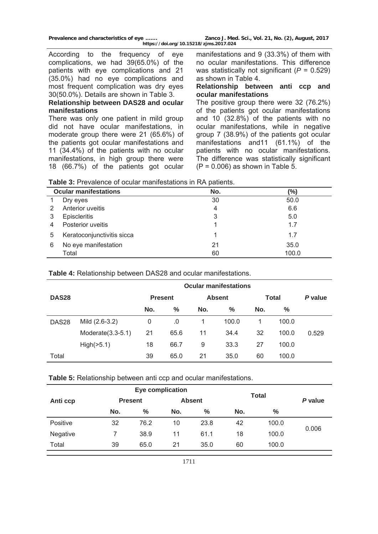**Prevalence and characteristics of eye ……. Zanco J. Med. Sci., Vol. 21, No. (2), August, 2017 https://doi.org/10.15218/zjms.2017.024**

According to the frequency of eye complications, we had 39(65.0%) of the patients with eye complications and 21 (35.0%) had no eye complications and most frequent complication was dry eyes 30(50.0%). Details are shown in Table 3.

### **Relationship between DAS28 and ocular manifestations**

There was only one patient in mild group did not have ocular manifestations, in moderate group there were 21 (65.6%) of the patients got ocular manifestations and 11 (34.4%) of the patients with no ocular manifestations, in high group there were 18 (66.7%) of the patients got ocular manifestations and 9 (33.3%) of them with no ocular manifestations. This difference was statistically not significant (*P* = 0.529) as shown in Table 4.

### **Relationship between anti ccp and ocular manifestations**

The positive group there were 32 (76.2%) of the patients got ocular manifestations and 10 (32.8%) of the patients with no ocular manifestations, while in negative group 7 (38.9%) of the patients got ocular manifestations and11 (61.1%) of the patients with no ocular manifestations. The difference was statistically significant  $(P = 0.006)$  as shown in Table 5.

| Table 3: Prevalence of ocular manifestations in RA patients. |
|--------------------------------------------------------------|
|--------------------------------------------------------------|

|   | <b>Ocular manifestations</b> | No. | (%)   |
|---|------------------------------|-----|-------|
|   | Dry eyes                     | 30  | 50.0  |
|   | Anterior uveitis             | 4   | 6.6   |
| 3 | <b>Episcleritis</b>          | 3   | 5.0   |
|   | Posterior uveitis            |     | 1.7   |
| 5 | Keratoconjunctivitis sicca   |     | 1.7   |
| 6 | No eye manifestation         | 21  | 35.0  |
|   | Total                        | 60  | 100.0 |

## **Table 4:** Relationship between DAS28 and ocular manifestations.

|                   |                      | <b>Ocular manifestations</b> |                |     |               |              |         |       |  |
|-------------------|----------------------|------------------------------|----------------|-----|---------------|--------------|---------|-------|--|
| DAS <sub>28</sub> |                      |                              | <b>Present</b> |     | <b>Absent</b> | <b>Total</b> | P value |       |  |
|                   |                      | No.                          | $\%$           | No. | $\%$          | No.          | %       |       |  |
| DAS <sub>28</sub> | Mild (2.6-3.2)       | 0                            | .0             | 1.  | 100.0         | 1            | 100.0   |       |  |
|                   | Moderate $(3.3-5.1)$ | 21                           | 65.6           | 11  | 34.4          | 32           | 100.0   | 0.529 |  |
|                   | High(>5.1)           | 18                           | 66.7           | 9   | 33.3          | 27           | 100.0   |       |  |
| Total             |                      | 39                           | 65.0           | 21  | 35.0          | 60           | 100.0   |       |  |

### **Table 5:** Relationship between anti ccp and ocular manifestations.

|                            |     | <b>Eye complication</b> |               |      |              |         |       |
|----------------------------|-----|-------------------------|---------------|------|--------------|---------|-------|
| Anti ccp<br><b>Present</b> |     |                         | <b>Absent</b> |      | <b>Total</b> | P value |       |
|                            | No. | %                       | No.           | %    | No.          | $\%$    |       |
| Positive                   | 32  | 76.2                    | 10            | 23.8 | 42           | 100.0   | 0.006 |
| Negative                   |     | 38.9                    | 11            | 61.1 | 18           | 100.0   |       |
| Total                      | 39  | 65.0                    | 21            | 35.0 | 60           | 100.0   |       |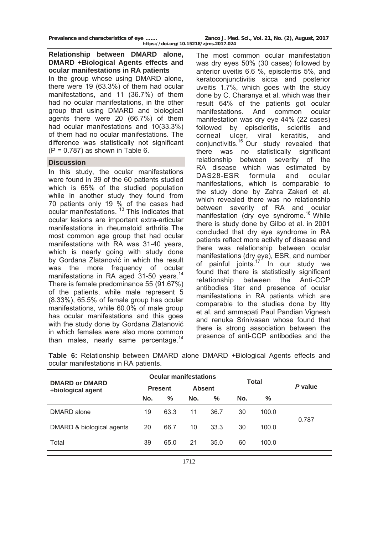## **Relationship between DMARD alone, DMARD +Biological Agents effects and ocular manifestations in RA patients**

In the group whose using DMARD alone, there were 19 (63.3%) of them had ocular manifestations, and 11 (36.7%) of them had no ocular manifestations, in the other group that using DMARD and biological agents there were 20 (66.7%) of them had ocular manifestations and 10(33.3%) of them had no ocular manifestations. The difference was statistically not significant  $(P = 0.787)$  as shown in Table 6.

### **Discussion**

In this study, the ocular manifestations were found in 39 of the 60 patients studied which is 65% of the studied population while in another study they found from 70 patients only 19 % of the cases had ocular manifestations. 13 This indicates that ocular lesions are important extra-articular manifestations in rheumatoid arthritis. The most common age group that had ocular manifestations with RA was 31-40 years, which is nearly going with study done by Gordana Zlatanović in which the result was the more frequency of ocular manifestations in RA aged 31-50 years.<sup>14</sup> There is female predominance 55 (91.67%) of the patients, while male represent 5 (8.33%), 65.5% of female group has ocular manifestations, while 60.0% of male group has ocular manifestations and this goes with the study done by Gordana Zlatanović in which females were also more common than males, nearly same percentage.<sup>14</sup>

The most common ocular manifestation was dry eyes 50% (30 cases) followed by anterior uveitis 6.6 %, episcleritis 5%, and keratoconjunctivitis sicca and posterior uveitis 1.7%, which goes with the study done by C. Charanya et al. which was their result 64% of the patients got ocular manifestations. And common ocular manifestation was dry eye 44% (22 cases) followed by episcleritis, scleritis and corneal ulcer, viral keratitis, and conjunctivitis.15 Our study revealed that there was no statistically significant relationship between severity of the RA disease which was estimated by DAS28-ESR formula and ocular manifestations, which is comparable to the study done by Zahra Zakeri et al. which revealed there was no relationship between severity of RA and ocular manifestation (dry eye syndrome.<sup>16</sup> While there is study done by Gilbo et al. in 2001 concluded that dry eye syndrome in RA patients reflect more activity of disease and there was relationship between ocular manifestations (dry eye), ESR, and number of painful joints. $17$  In our study we found that there is statistically significant relationship between the Anti-CCP antibodies titer and presence of ocular manifestations in RA patients which are comparable to the studies done by Itty et al. and ammapati Paul Pandian Vignesh and renuka Srinivasan whose found that there is strong association between the presence of anti-CCP antibodies and the

|                                            | <b>Ocular manifestations</b> |      |               |      | Total |       |         |  |
|--------------------------------------------|------------------------------|------|---------------|------|-------|-------|---------|--|
| <b>DMARD or DMARD</b><br>+biological agent | <b>Present</b>               |      | <b>Absent</b> |      |       |       | P value |  |
|                                            | No.                          | %    | No.           | %    | No.   | %     |         |  |
| DMARD alone                                | 19                           | 63.3 | 11            | 36.7 | 30    | 100.0 | 0.787   |  |
| DMARD & biological agents                  | 20                           | 66.7 | 10            | 33.3 | 30    | 100.0 |         |  |
| Total                                      | 39                           | 65.0 | 21            | 35.0 | 60    | 100.0 |         |  |

**Table 6:** Relationship between DMARD alone DMARD +Biological Agents effects and ocular manifestations in RA patients.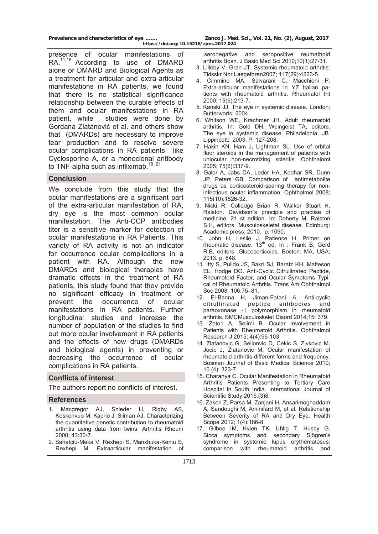presence of ocular manifestations of RA.11,18 According to use of DMARD alone or DMARD and Biological Agents as a treatment for articular and extra-articular manifestations in RA patients, we found that there is no statistical significance relationship between the curable effects of them and ocular manifestations in RA patient, while studies were done by Gordana Zlatanović et al. and others show that (DMARDs) are necessary to improve tear production and to resolve severe ocular complications in RA patients like Cyclosporine A, or a monoclonal antibody to TNF-alpha such as infliximab.<sup>19, 21</sup>

## **Conclusion**

We conclude from this study that the ocular manifestations are a significant part of the extra-articular manifestation of RA, dry eye is the most common ocular manifestation. The Anti-CCP antibodies titer is a sensitive marker for detection of ocular manifestations in RA Patients. This variety of RA activity is not an indicator for occurrence ocular complications in a patient with RA. Although the new DMARDs and biological therapies have dramatic effects in the treatment of RA patients, this study found that they provide no significant efficacy in treatment or prevent the occurrence of ocular manifestations in RA patients. Further longitudinal studies and increase the number of population of the studies to find out more ocular involvement in RA patients and the effects of new drugs (DMARDs and biological agents) in preventing or decreasing the occurrence of ocular complications in RA patients.

#### **Conflicts of interest**

The authors report no conflicts of interest.

#### **References**

- 1. Macgregor AJ, Snieder H, Rigby AS, Koskenvuo M, Kaprio J, Silman AJ. Characterizing the quantitative genetic contribution to rheumatoid arthritis using data from twins. Arthritis Rheum 2000; 43:30-7.
- 2. Sahatçiu-Meka V, Rexhepi S, Manxhuka-Kërliu S, Rexhepi M. Extraarticular manifestation of

 seronegative and seropositive reumathoid arthritis Bosn. J Basic Med Sci 2010;10(1):27-31.

- 3. Lilleby V, Gran JT. Systemic rheumatoid arthritis: Tidsskr Nor Laegeforen2007; 117(29):4223-5.
- 4. Cimmino MA, Salvarani C, Macchioni P. Extra-articular manifestations in YZ Italian patients with rheumatoid arthritis. Rheumatol Int 2000; 19(6):213-7.
- 5. Kanski JJ. The eye in systemic disease. London: Butterworts; 2004.
- 6. Whitson WE, Krachmer JH. Adult rheumatoid arthritis. In: Gold DH, Weingeist TA, editors. The eye in systemic disease. Philadelphia: JB. Lippincott; 2003. P. 127-208.
- 7. Hakin KN, Ham J, Lightman SL. Use of orbital floor steroids in the management of patients with uniocular non-necrotizing scleritis. Ophthaloml 2005; 75(6):337-9.
- 8. Galor A, Jabs DA, Leder HA, Kedhar SR, Dunn JP, Peters GB. Comparison of antimetabolite drugs as corticosteroid-sparing therapy for noninfectious ocular inflammation. Ophthalmol 2008; 115(10):1826-32.
- 9. Nicki R, Colledge Brian R, Walker Stuart H, Ralston. Davidson`s principle and practise of medicine. 21 st edition. In: Doherty M, Ralston S.H, editors. Musculoskeletal disease. Edinburg: Academic press; 2010. p. 1090.
- 10. John H, Leslie J, Patience H. Primer on rheumatic disease.  $13<sup>th</sup>$  ed. In : Frank B, Gerd R.B, editors .Glucocorticoids. Boston: MA, USA; 2013. p. 648.
- 11. Itty S, Pulido JS, Bakri SJ, Baratz KH, Matteson EL, Hodge DO. Anti-Cyclic Citrullinated Peptide, Rheumatoid Factor, and Ocular Symptoms Typical of Rheumatoid Arthritis. Trans Am Ophthalmol Soc 2008; 106:75–81.
- 12. El-Banna H, Jiman-Fatani A. Anti-cyclic citrullinated peptide antibodies and paraoxonase -1 polymorphism in rheumatoid arthritis. BMCMusculoskelet Disord 2014;15: 379.
- 13. Zoto1 A, Selimi B. Ocular Involvement in Patients with Rheumatoid Arthritis. Ophthalmol Research J 2015; 4(4):99-103.
- 14. Zlatanovic G, Selionvic D, Cekic S, Zivkovic M, Jocic J, Zlatanovic M. Ocular manifestation of rheumatoid arthritis-different forms and frequency. Bosnian Journal of Basic Medical Science 2010; 10 (4): 323-7.
- 15. Charanya C. Ocular Manifestation in Rheumatoid Arthritis Patients Presenting to Tertiary Care Hospital in South India. International Journal of Scientific Study 2015.(3)8.
- 16. Zakeri Z, Parsa M, Zanjani H, Ansarimoghaddam A, Sandoughi M, Aminifard M, et al. Relationship Between Severity of RA and Dry Eye. Health Scope 2012; 1(4):186-8.
- 17. Gilboe IM, Kvien TK, Uhlig T, Husby G. Sicca symptoms and secondary Sjögren's syndrome in systemic lupus erythematosus: comparison with rheumatoid arthritis and